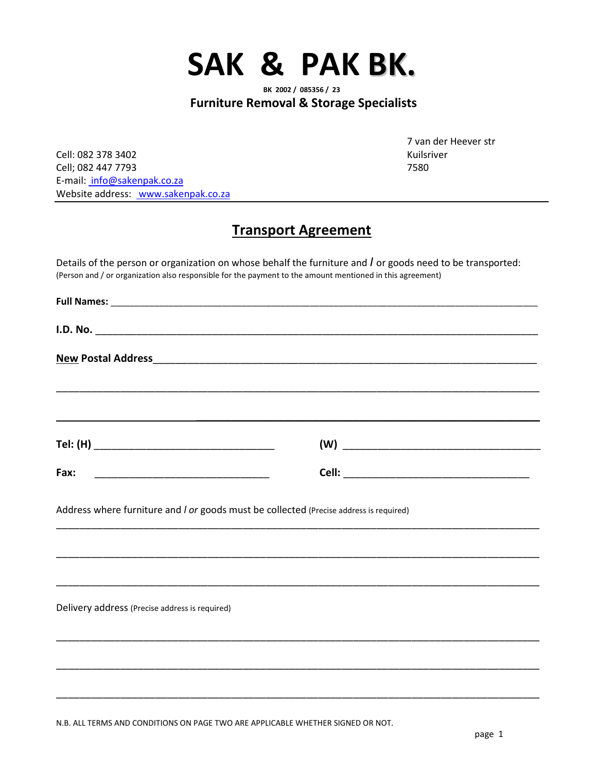

**Furniture Removal & Storage Specialists**

Cell: 082 378 3402 Kuilsriver Cell; 082 447 7793 7580 E-mail: info@sakenpak.co.za Website address: www.sakenpak.co.za

7 van der Heever str

## **Transport Agreement**

Details of the person or organization on whose behalf the furniture and *I* or goods need to be transported: (Person and / or organization also responsible for the payment to the amount mentioned in this agreement)

| Fax:                                           |                                                                                        |  |
|------------------------------------------------|----------------------------------------------------------------------------------------|--|
|                                                | Address where furniture and I or goods must be collected (Precise address is required) |  |
| Delivery address (Precise address is required) | ,我们的人们就会在这里的人们,我们的人们就会在这里,我们的人们就会在这里,我们的人们就会在这里,我们的人们就会在这里,我们的人们就会在这里,我们的人们就会在这里       |  |
|                                                |                                                                                        |  |
|                                                |                                                                                        |  |
|                                                |                                                                                        |  |

N.B. ALL TERMS AND CONDITIONS ON PAGE TWO ARE APPLICABLE WHETHER SIGNED OR NOT.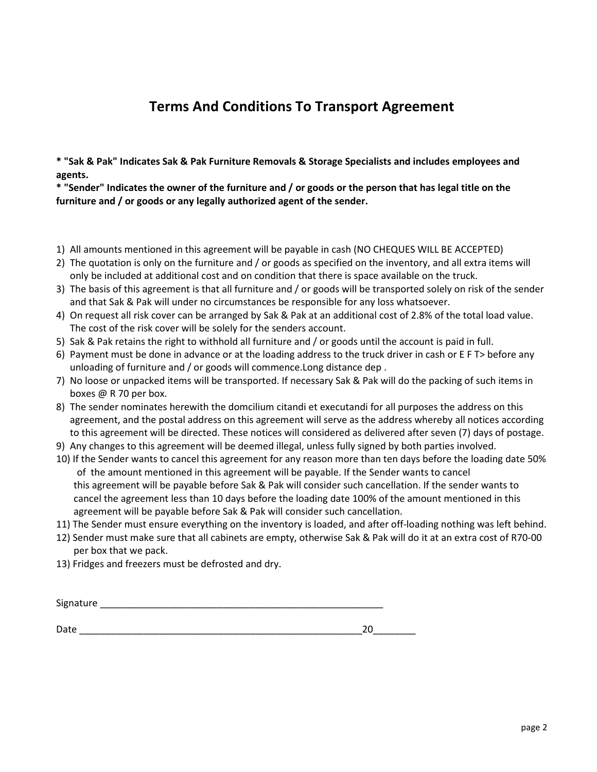## **Terms And Conditions To Transport Agreement**

**\* "Sak & Pak" Indicates Sak & Pak Furniture Removals & Storage Specialists and includes employees and agents.** 

**\* "Sender" Indicates the owner of the furniture and / or goods or the person that has legal title on the furniture and / or goods or any legally authorized agent of the sender.** 

- 1) All amounts mentioned in this agreement will be payable in cash (NO CHEQUES WILL BE ACCEPTED)
- 2) The quotation is only on the furniture and / or goods as specified on the inventory, and all extra items will only be included at additional cost and on condition that there is space available on the truck.
- 3) The basis of this agreement is that all furniture and / or goods will be transported solely on risk of the sender and that Sak & Pak will under no circumstances be responsible for any loss whatsoever.
- 4) On request all risk cover can be arranged by Sak & Pak at an additional cost of 2.8% of the total load value. The cost of the risk cover will be solely for the senders account.
- 5) Sak & Pak retains the right to withhold all furniture and / or goods until the account is paid in full.
- 6) Payment must be done in advance or at the loading address to the truck driver in cash or E F T> before any unloading of furniture and / or goods will commence.Long distance dep .
- 7) No loose or unpacked items will be transported. If necessary Sak & Pak will do the packing of such items in boxes @ R 70 per box.
- 8) The sender nominates herewith the domcilium citandi et executandi for all purposes the address on this agreement, and the postal address on this agreement will serve as the address whereby all notices according to this agreement will be directed. These notices will considered as delivered after seven (7) days of postage.
- 9) Any changes to this agreement will be deemed illegal, unless fully signed by both parties involved.
- 10) If the Sender wants to cancel this agreement for any reason more than ten days before the loading date 50% of the amount mentioned in this agreement will be payable. If the Sender wants to cancel this agreement will be payable before Sak & Pak will consider such cancellation. If the sender wants to cancel the agreement less than 10 days before the loading date 100% of the amount mentioned in this agreement will be payable before Sak & Pak will consider such cancellation.
- 11) The Sender must ensure everything on the inventory is loaded, and after off-loading nothing was left behind.
- 12) Sender must make sure that all cabinets are empty, otherwise Sak & Pak will do it at an extra cost of R70-00 per box that we pack.
- 13) Fridges and freezers must be defrosted and dry.

| Signature<br>5.51 |
|-------------------|
|-------------------|

Date \_\_\_\_\_\_\_\_\_\_\_\_\_\_\_\_\_\_\_\_\_\_\_\_\_\_\_\_\_\_\_\_\_\_\_\_\_\_\_\_\_\_\_\_\_\_\_\_\_\_\_\_\_20\_\_\_\_\_\_\_\_